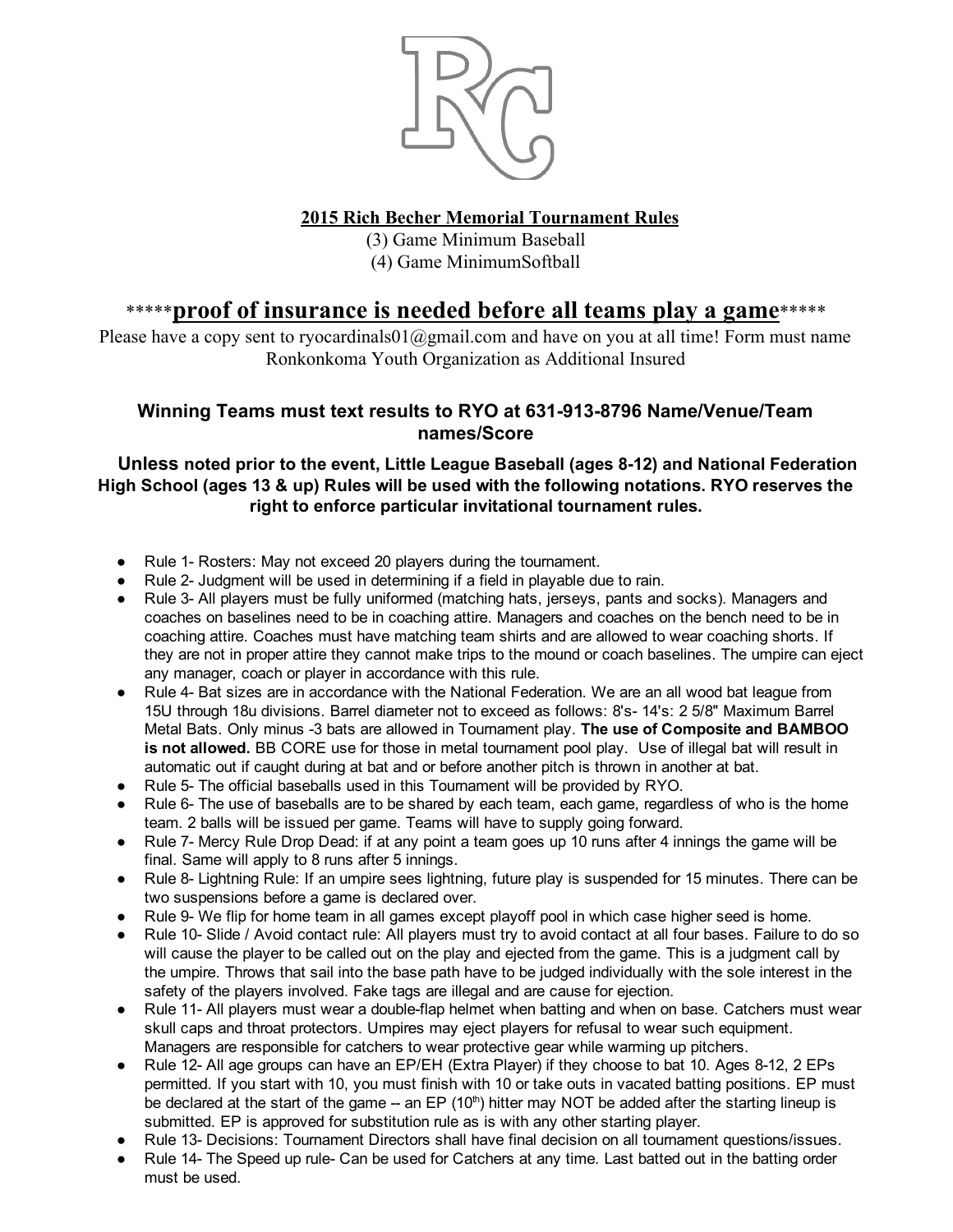

#### 2015 Rich Becher Memorial Tournament Rules

(3) Game Minimum Baseball (4) Game MinimumSoftball

### \*\*\*\*\*proof of insurance is needed before all teams play a game\*\*\*\*\*

Please have a copy sent to ryocardinals $01$  @gmail.com and have on you at all time! Form must name Ronkonkoma Youth Organization as Additional Insured

#### Winning Teams must text results to RYO at 631-913-8796 Name/Venue/Team names/Score

#### Unless noted prior to the event, Little League Baseball (ages 812) and National Federation High School (ages 13 & up) Rules will be used with the following notations. RYO reserves the right to enforce particular invitational tournament rules.

- Rule 1- Rosters: May not exceed 20 players during the tournament.
- Rule 2- Judgment will be used in determining if a field in playable due to rain.
- Rule 3 All players must be fully uniformed (matching hats, jerseys, pants and socks). Managers and coaches on baselines need to be in coaching attire. Managers and coaches on the bench need to be in coaching attire. Coaches must have matching team shirts and are allowed to wear coaching shorts. If they are not in proper attire they cannot make trips to the mound or coach baselines. The umpire can eject any manager, coach or player in accordance with this rule.
- Rule 4- Bat sizes are in accordance with the National Federation. We are an all wood bat league from 15U through 18u divisions. Barrel diameter not to exceed as follows: 8's- 14's: 2 5/8" Maximum Barrel Metal Bats. Only minus -3 bats are allowed in Tournament play. The use of Composite and BAMBOO is not allowed. BB CORE use for those in metal tournament pool play. Use of illegal bat will result in automatic out if caught during at bat and or before another pitch is thrown in another at bat.
- Rule 5 The official baseballs used in this Tournament will be provided by RYO.
- Rule 6- The use of baseballs are to be shared by each team, each game, regardless of who is the home team. 2 balls will be issued per game. Teams will have to supply going forward.
- Rule 7- Mercy Rule Drop Dead: if at any point a team goes up 10 runs after 4 innings the game will be final. Same will apply to 8 runs after 5 innings.
- Rule 8- Lightning Rule: If an umpire sees lightning, future play is suspended for 15 minutes. There can be two suspensions before a game is declared over.
- Rule 9- We flip for home team in all games except playoff pool in which case higher seed is home.
- Rule 10 Slide / Avoid contact rule: All players must try to avoid contact at all four bases. Failure to do so will cause the player to be called out on the play and ejected from the game. This is a judgment call by the umpire. Throws that sail into the base path have to be judged individually with the sole interest in the safety of the players involved. Fake tags are illegal and are cause for ejection.
- Rule 11- All players must wear a double-flap helmet when batting and when on base. Catchers must wear skull caps and throat protectors. Umpires may eject players for refusal to wear such equipment. Managers are responsible for catchers to wear protective gear while warming up pitchers.
- Rule 12- All age groups can have an EP/EH (Extra Player) if they choose to bat 10. Ages 8-12, 2 EPs permitted. If you start with 10, you must finish with 10 or take outs in vacated batting positions. EP must be declared at the start of the game  $-$  an EP (10<sup>th</sup>) hitter may NOT be added after the starting lineup is submitted. EP is approved for substitution rule as is with any other starting player.
- Rule 13 Decisions: Tournament Directors shall have final decision on all tournament questions/issues.
- Rule 14- The Speed up rule- Can be used for Catchers at any time. Last batted out in the batting order must be used.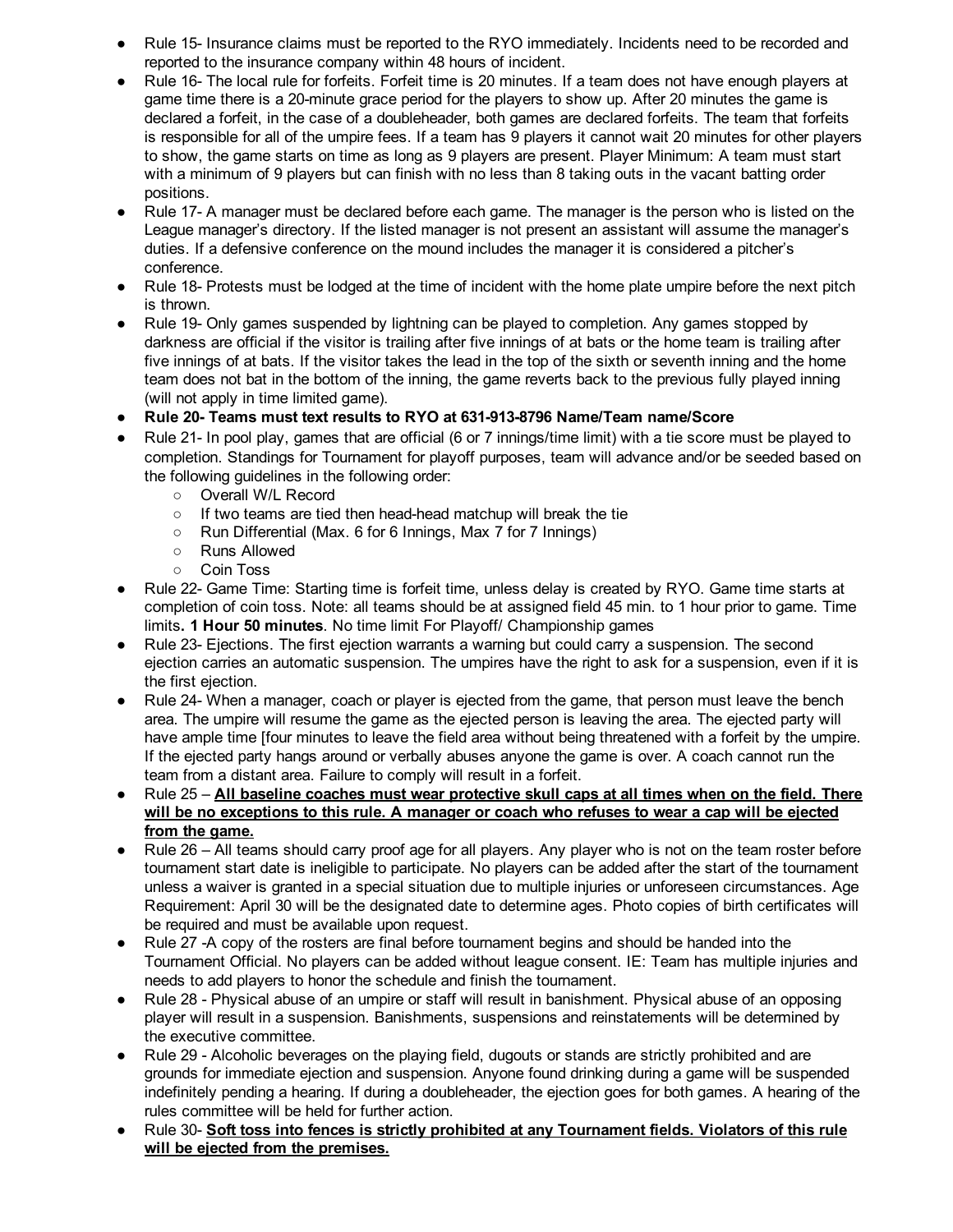- Rule 15- Insurance claims must be reported to the RYO immediately. Incidents need to be recorded and reported to the insurance company within 48 hours of incident.
- Rule 16- The local rule for forfeits. Forfeit time is 20 minutes. If a team does not have enough players at game time there is a 20-minute grace period for the players to show up. After 20 minutes the game is declared a forfeit, in the case of a doubleheader, both games are declared forfeits. The team that forfeits is responsible for all of the umpire fees. If a team has 9 players it cannot wait 20 minutes for other players to show, the game starts on time as long as 9 players are present. Player Minimum: A team must start with a minimum of 9 players but can finish with no less than 8 taking outs in the vacant batting order positions.
- Rule 17- A manager must be declared before each game. The manager is the person who is listed on the League manager's directory. If the listed manager is not present an assistant will assume the manager's duties. If a defensive conference on the mound includes the manager it is considered a pitcher's conference.
- Rule 18 Protests must be lodged at the time of incident with the home plate umpire before the next pitch is thrown.
- Rule 19- Only games suspended by lightning can be played to completion. Any games stopped by darkness are official if the visitor is trailing after five innings of at bats or the home team is trailing after five innings of at bats. If the visitor takes the lead in the top of the sixth or seventh inning and the home team does not bat in the bottom of the inning, the game reverts back to the previous fully played inning (will not apply in time limited game).
- Rule 20- Teams must text results to RYO at 631-913-8796 Name/Team name/Score
- Rule 21- In pool play, games that are official (6 or 7 innings/time limit) with a tie score must be played to completion. Standings for Tournament for playoff purposes, team will advance and/or be seeded based on the following guidelines in the following order:
	- Overall W/L Record
	- If two teams are tied then head-head matchup will break the tie
	- Run Differential (Max. 6 for 6 Innings, Max 7 for 7 Innings)
	- Runs Allowed
	- Coin Toss
- Rule 22 Game Time: Starting time is forfeit time, unless delay is created by RYO. Game time starts at completion of coin toss. Note: all teams should be at assigned field 45 min. to 1 hour prior to game. Time limits. 1 Hour 50 minutes. No time limit For Playoff/ Championship games
- Rule 23 Ejections. The first ejection warrants a warning but could carry a suspension. The second ejection carries an automatic suspension. The umpires have the right to ask for a suspension, even if it is the first ejection.
- Rule 24- When a manager, coach or player is ejected from the game, that person must leave the bench area. The umpire will resume the game as the ejected person is leaving the area. The ejected party will have ample time [four minutes to leave the field area without being threatened with a forfeit by the umpire. If the ejected party hangs around or verbally abuses anyone the game is over. A coach cannot run the team from a distant area. Failure to comply will result in a forfeit.
- Rule 25 All baseline coaches must wear protective skull caps at all times when on the field. There will be no exceptions to this rule. A manager or coach who refuses to wear a cap will be ejected from the game.
- Rule 26 All teams should carry proof age for all players. Any player who is not on the team roster before tournament start date is ineligible to participate. No players can be added after the start of the tournament unless a waiver is granted in a special situation due to multiple injuries or unforeseen circumstances. Age Requirement: April 30 will be the designated date to determine ages. Photo copies of birth certificates will be required and must be available upon request.
- Rule 27 -A copy of the rosters are final before tournament begins and should be handed into the Tournament Official. No players can be added without league consent. IE: Team has multiple injuries and needs to add players to honor the schedule and finish the tournament.
- Rule 28 Physical abuse of an umpire or staff will result in banishment. Physical abuse of an opposing player will result in a suspension. Banishments, suspensions and reinstatements will be determined by the executive committee.
- Rule 29 Alcoholic beverages on the playing field, dugouts or stands are strictly prohibited and are grounds for immediate ejection and suspension. Anyone found drinking during a game will be suspended indefinitely pending a hearing. If during a doubleheader, the ejection goes for both games. A hearing of the rules committee will be held for further action.
- Rule 30- Soft toss into fences is strictly prohibited at any Tournament fields. Violators of this rule will be ejected from the premises.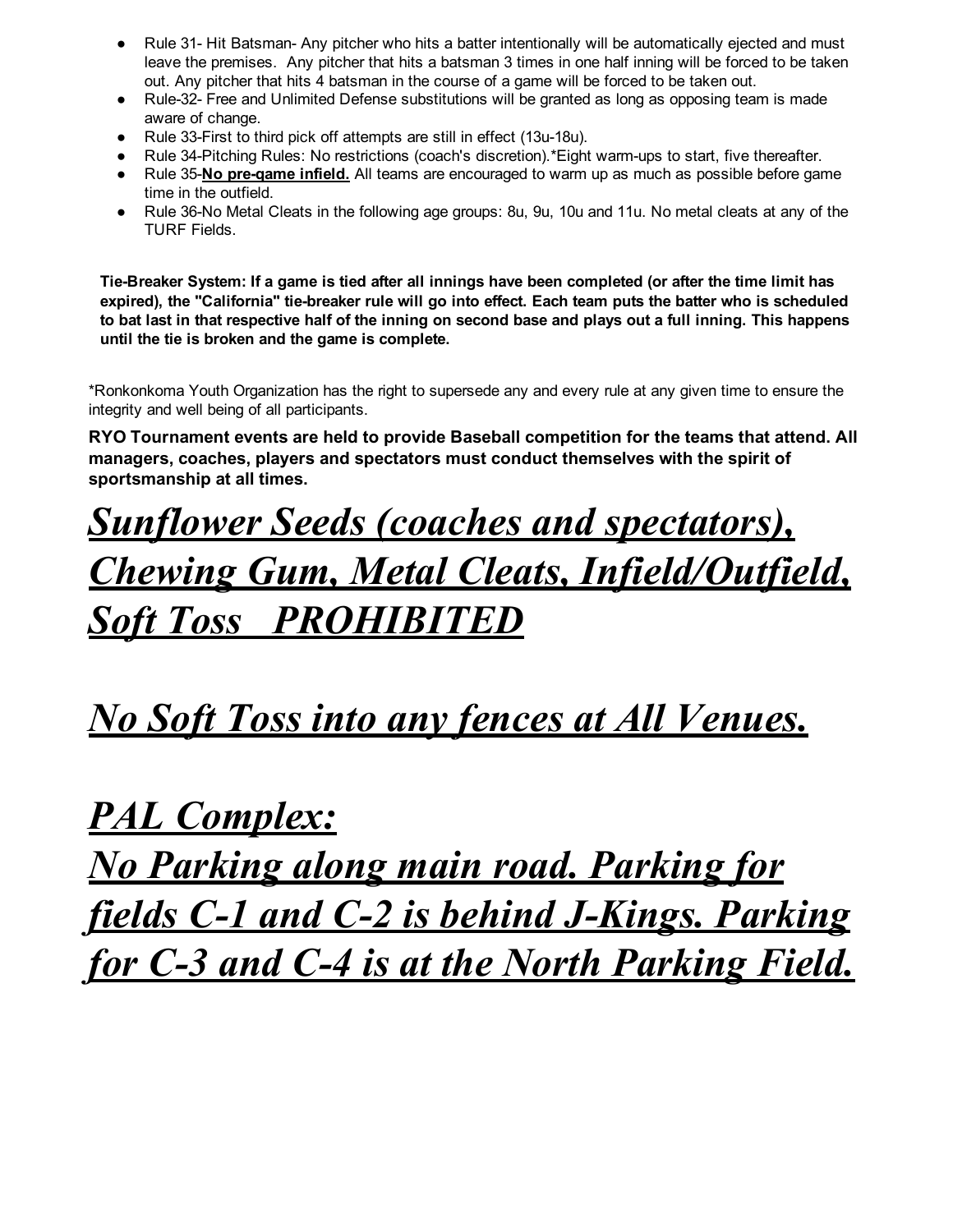- Rule 31 Hit Batsman Any pitcher who hits a batter intentionally will be automatically ejected and must leave the premises. Any pitcher that hits a batsman 3 times in one half inning will be forced to be taken out. Any pitcher that hits 4 batsman in the course of a game will be forced to be taken out.
- Rule-32- Free and Unlimited Defense substitutions will be granted as long as opposing team is made aware of change.
- Rule 33-First to third pick off attempts are still in effect (13u-18u).
- Rule 34-Pitching Rules: No restrictions (coach's discretion). \*Eight warm-ups to start, five thereafter.
- Rule 35-No pre-game infield. All teams are encouraged to warm up as much as possible before game time in the outfield.
- Rule 36-No Metal Cleats in the following age groups: 8u, 9u, 10u and 11u. No metal cleats at any of the TURF Fields.

Tie-Breaker System: If a game is tied after all innings have been completed (or after the time limit has expired), the "California" tie-breaker rule will go into effect. Each team puts the batter who is scheduled to bat last in that respective half of the inning on second base and plays out a full inning. This happens until the tie is broken and the game is complete.

\*Ronkonkoma Youth Organization has the right to supersede any and every rule at any given time to ensure the integrity and well being of all participants.

RYO Tournament events are held to provide Baseball competition for the teams that attend. All managers, coaches, players and spectators must conduct themselves with the spirit of sportsmanship at all times.

# **Sunflower Seeds (coaches and spectators),** Chewing Gum, Metal Cleats, Infield/Outfield, Soft Toss PROHIBITED

## **No Soft Toss into any fences at All Venues.**

### PAL Complex:

No Parking along main road. Parking for fields C-1 and C-2 is behind J-Kings. Parking for C-3 and C-4 is at the North Parking Field.